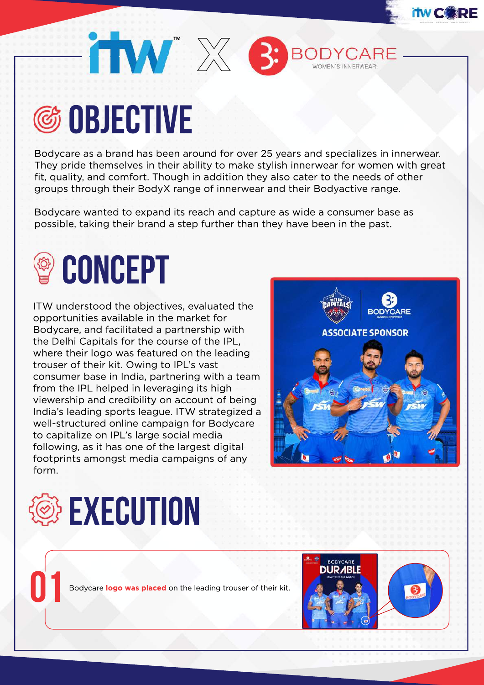

## **©S OBJECTIVE**

Bodycare as a brand has been around for over 25 years and specializes in innerwear. They pride themselves in their ability to make stylish innerwear for women with great fit, quality, and comfort. Though in addition they also cater to the needs of other groups through their BodyX range of innerwear and their Bodyactive range.

Bodycare wanted to expand its reach and capture as wide a consumer base as possible, taking their brand a step further than they have been in the past.



ITW understood the objectives, evaluated the opportunities available in the market for Bodycare, and facilitated a partnership with the Delhi Capitals for the course of the IPL, where their logo was featured on the leading trouser of their kit. Owing to IPL's vast consumer base in India, partnering with a team from the IPL helped in leveraging its high viewership and credibility on account of being India's leading sports league. ITW strategized a well-structured online campaign for Bodycare to capitalize on IPL's large social media following, as it has one of the largest digital footprints amongst media campaigns of any form.



**BODYCARI** 



Bodycare logo was placed on the leading trouser of their kit.